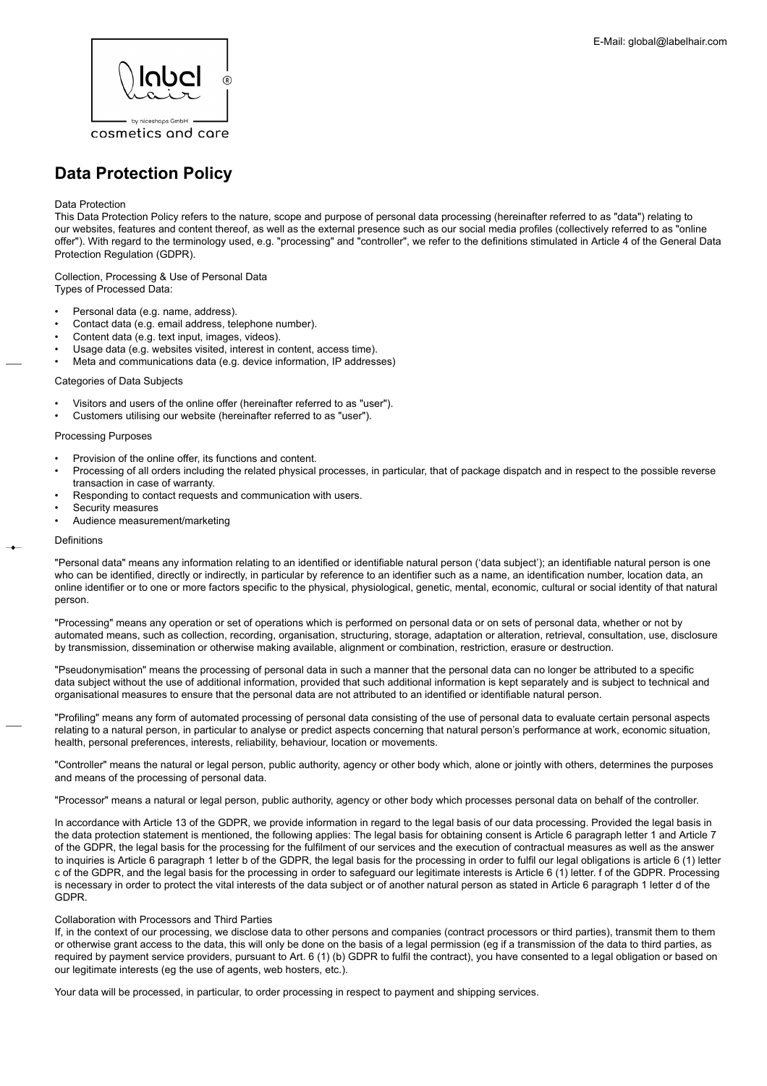<span id="page-0-0"></span>

### **Data Protection Policy**

#### Data Protection

This Data Protection Policy refers to the nature, scope and purpose of personal data processing (hereinafter referred to as "data") relating to our websites, features and content thereof, as well as the external presence such as our social media profiles (collectively referred to as "online offer"). With regard to the terminology used, e.g. "processing" and "controller", we refer to the definitions stimulated in Article 4 of the General Data Protection Regulation (GDPR).

Collection, Processing & Use of Personal Data Types of Processed Data:

- Personal data (e.g. name, address).
- Contact data (e.g. email address, telephone number).
- Content data (e.g. text input, images, videos).
- Usage data (e.g. websites visited, interest in content, access time).
- Meta and communications data (e.g. device information, IP addresses)

#### Categories of Data Subjects

- Visitors and users of the online offer (hereinafter referred to as "user").
- Customers utilising our website (hereinafter referred to as "user").

#### Processing Purposes

- Provision of the online offer, its functions and content.
- Processing of all orders including the related physical processes, in particular, that of package dispatch and in respect to the possible reverse transaction in case of warranty.
- Responding to contact requests and communication with users.
- Security measures
- Audience measurement/marketing

#### Definitions

"Personal data" means any information relating to an identified or identifiable natural person ('data subject'); an identifiable natural person is one who can be identified, directly or indirectly, in particular by reference to an identifier such as a name, an identification number, location data, an online identifier or to one or more factors specific to the physical, physiological, genetic, mental, economic, cultural or social identity of that natural person.

"Processing" means any operation or set of operations which is performed on personal data or on sets of personal data, whether or not by automated means, such as collection, recording, organisation, structuring, storage, adaptation or alteration, retrieval, consultation, use, disclosure by transmission, dissemination or otherwise making available, alignment or combination, restriction, erasure or destruction.

"Pseudonymisation" means the processing of personal data in such a manner that the personal data can no longer be attributed to a specific data subject without the use of additional information, provided that such additional information is kept separately and is subject to technical and organisational measures to ensure that the personal data are not attributed to an identified or identifiable natural person.

"Profiling" means any form of automated processing of personal data consisting of the use of personal data to evaluate certain personal aspects relating to a natural person, in particular to analyse or predict aspects concerning that natural person's performance at work, economic situation, health, personal preferences, interests, reliability, behaviour, location or movements.

"Controller" means the natural or legal person, public authority, agency or other body which, alone or jointly with others, determines the purposes and means of the processing of personal data.

"Processor" means a natural or legal person, public authority, agency or other body which processes personal data on behalf of the controller.

In accordance with Article 13 of the GDPR, we provide information in regard to the legal basis of our data processing. Provided the legal basis in the data protection statement is mentioned, the following applies: The legal basis for obtaining consent is Article 6 paragraph letter 1 and Article 7 of the GDPR, the legal basis for the processing for the fulfilment of our services and the execution of contractual measures as well as the answer to inquiries is Article 6 paragraph 1 letter b of the GDPR, the legal basis for the processing in order to fulfil our legal obligations is article 6 (1) letter c of the GDPR, and the legal basis for the processing in order to safeguard our legitimate interests is Article 6 (1) letter. f of the GDPR. Processing is necessary in order to protect the vital interests of the data subject or of another natural person as stated in Article 6 paragraph 1 letter d of the GDPR.

#### Collaboration with Processors and Third Parties

If, in the context of our processing, we disclose data to other persons and companies (contract processors or third parties), transmit them to them or otherwise grant access to the data, this will only be done on the basis of a legal permission (eg if a transmission of the data to third parties, as required by payment service providers, pursuant to Art. 6 (1) (b) GDPR to fulfil the contract), you have consented to a legal obligation or based on our legitimate interests (eg the use of agents, web hosters, etc.).

Your data will be processed, in particular, to order processing in respect to payment and shipping services.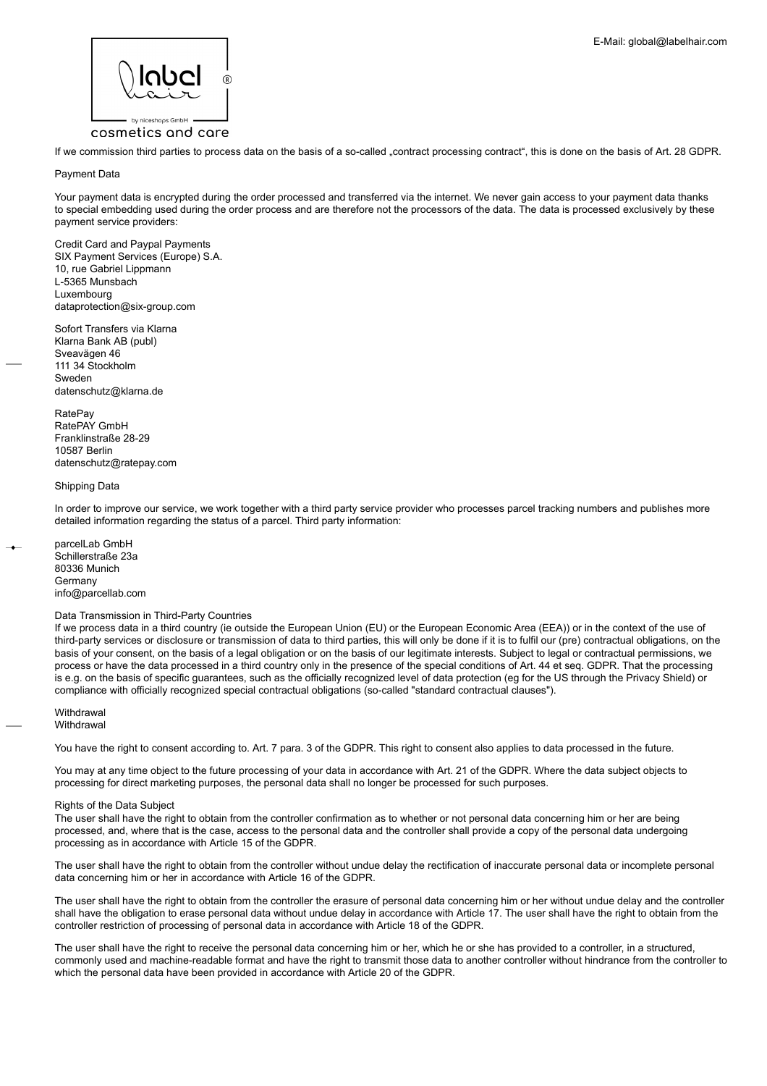

If we commission third parties to process data on the basis of a so-called "contract processing contract", this is done on the basis of Art. 28 GDPR.

#### Payment Data

Your payment data is encrypted during the order processed and transferred via the internet. We never gain access to your payment data thanks to special embedding used during the order process and are therefore not the processors of the data. The data is processed exclusively by these payment service providers:

Credit Card and Paypal Payments SIX Payment Services (Europe) S.A. 10, rue Gabriel Lippmann L-5365 Munsbach Luxembourg dataprotection@six-group.com

Sofort Transfers via Klarna Klarna Bank AB (publ) Sveavägen 46 111 34 Stockholm Sweden datenschutz@klarna.de

RatePay RatePAY GmbH Franklinstraße 28-29 10587 Berlin datenschutz@ratepay.com

#### Shipping Data

In order to improve our service, we work together with a third party service provider who processes parcel tracking numbers and publishes more detailed information regarding the status of a parcel. Third party information:

parcelLab GmbH Schillerstraße 23a 80336 Munich **Germany** info@parcellab.com

#### Data Transmission in Third-Party Countries

If we process data in a third country (ie outside the European Union (EU) or the European Economic Area (EEA)) or in the context of the use of third-party services or disclosure or transmission of data to third parties, this will only be done if it is to fulfil our (pre) contractual obligations, on the basis of your consent, on the basis of a legal obligation or on the basis of our legitimate interests. Subject to legal or contractual permissions, we process or have the data processed in a third country only in the presence of the special conditions of Art. 44 et seq. GDPR. That the processing is e.g. on the basis of specific guarantees, such as the officially recognized level of data protection (eg for the US through the Privacy Shield) or compliance with officially recognized special contractual obligations (so-called "standard contractual clauses").

**Withdrawal Withdrawal** 

You have the right to consent according to. Art. 7 para. 3 of the GDPR. This right to consent also applies to data processed in the future.

You may at any time object to the future processing of your data in accordance with Art. 21 of the GDPR. Where the data subject objects to processing for direct marketing purposes, the personal data shall no longer be processed for such purposes.

#### Rights of the Data Subject

The user shall have the right to obtain from the controller confirmation as to whether or not personal data concerning him or her are being processed, and, where that is the case, access to the personal data and the controller shall provide a copy of the personal data undergoing processing as in accordance with Article 15 of the GDPR.

The user shall have the right to obtain from the controller without undue delay the rectification of inaccurate personal data or incomplete personal data concerning him or her in accordance with Article 16 of the GDPR.

The user shall have the right to obtain from the controller the erasure of personal data concerning him or her without undue delay and the controller shall have the obligation to erase personal data without undue delay in accordance with Article 17. The user shall have the right to obtain from the controller restriction of processing of personal data in accordance with Article 18 of the GDPR.

The user shall have the right to receive the personal data concerning him or her, which he or she has provided to a controller, in a structured, commonly used and machine-readable format and have the right to transmit those data to another controller without hindrance from the controller to which the personal data have been provided in accordance with Article 20 of the GDPR.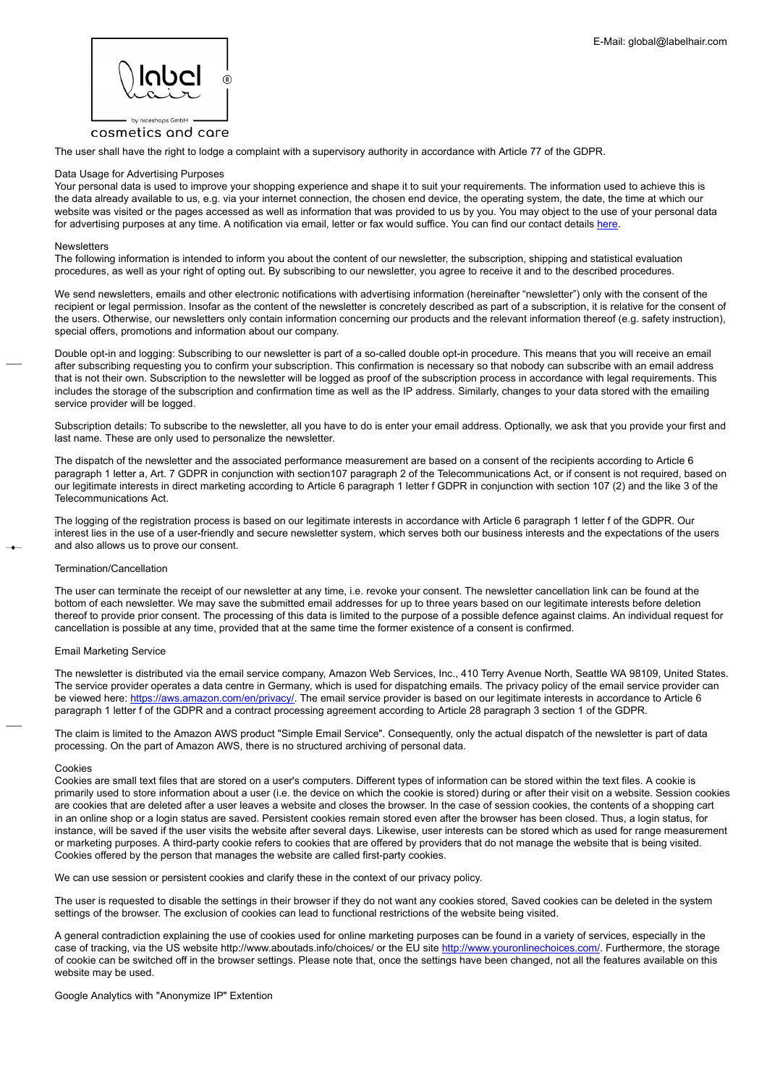

The user shall have the right to lodge a complaint with a supervisory authority in accordance with Article 77 of the GDPR.

#### Data Usage for Advertising Purposes

Your personal data is used to improve your shopping experience and shape it to suit your requirements. The information used to achieve this is the data already available to us, e.g. via your internet connection, the chosen end device, the operating system, the date, the time at which our website was visited or the pages accessed as well as information that was provided to us by you. You may object to the use of your personal data for advertising purposes at any time. A notification via email, letter or fax would suffice. You can find our contact details [here](http://https://www.labelhair.at/info/kontakt).

#### Newsletters

The following information is intended to inform you about the content of our newsletter, the subscription, shipping and statistical evaluation procedures, as well as your right of opting out. By subscribing to our newsletter, you agree to receive it and to the described procedures.

We send newsletters, emails and other electronic notifications with advertising information (hereinafter "newsletter") only with the consent of the recipient or legal permission. Insofar as the content of the newsletter is concretely described as part of a subscription, it is relative for the consent of the users. Otherwise, our newsletters only contain information concerning our products and the relevant information thereof (e.g. safety instruction), special offers, promotions and information about our company.

Double opt-in and logging: Subscribing to our newsletter is part of a so-called double opt-in procedure. This means that you will receive an email after subscribing requesting you to confirm your subscription. This confirmation is necessary so that nobody can subscribe with an email address that is not their own. Subscription to the newsletter will be logged as proof of the subscription process in accordance with legal requirements. This includes the storage of the subscription and confirmation time as well as the IP address. Similarly, changes to your data stored with the emailing service provider will be logged.

Subscription details: To subscribe to the newsletter, all you have to do is enter your email address. Optionally, we ask that you provide your first and last name. These are only used to personalize the newsletter.

The dispatch of the newsletter and the associated performance measurement are based on a consent of the recipients according to Article 6 paragraph 1 letter a, Art. 7 GDPR in conjunction with section107 paragraph 2 of the Telecommunications Act, or if consent is not required, based on our legitimate interests in direct marketing according to Article 6 paragraph 1 letter f GDPR in conjunction with section 107 (2) and the like 3 of the Telecommunications Act.

The logging of the registration process is based on our legitimate interests in accordance with Article 6 paragraph 1 letter f of the GDPR. Our interest lies in the use of a user-friendly and secure newsletter system, which serves both our business interests and the expectations of the users and also allows us to prove our consent.

#### Termination/Cancellation

The user can terminate the receipt of our newsletter at any time, i.e. revoke your consent. The newsletter cancellation link can be found at the bottom of each newsletter. We may save the submitted email addresses for up to three years based on our legitimate interests before deletion thereof to provide prior consent. The processing of this data is limited to the purpose of a possible defence against claims. An individual request for cancellation is possible at any time, provided that at the same time the former existence of a consent is confirmed.

#### Email Marketing Service

The newsletter is distributed via the email service company, Amazon Web Services, Inc., 410 Terry Avenue North, Seattle WA 98109, United States. The service provider operates a data centre in Germany, which is used for dispatching emails. The privacy policy of the email service provider can be viewed here: [https://aws.amazon.com/en/privacy/](https://aws.amazon.com/privacy/?nc1=h_ls). The email service provider is based on our legitimate interests in accordance to Article 6 paragraph 1 letter f of the GDPR and a contract processing agreement according to Article 28 paragraph 3 section 1 of the GDPR.

The claim is limited to the Amazon AWS product "Simple Email Service". Consequently, only the actual dispatch of the newsletter is part of data processing. On the part of Amazon AWS, there is no structured archiving of personal data.

#### Cookies

Cookies are small text files that are stored on a user's computers. Different types of information can be stored within the text files. A cookie is primarily used to store information about a user (i.e. the device on which the cookie is stored) during or after their visit on a website. Session cookies are cookies that are deleted after a user leaves a website and closes the browser. In the case of session cookies, the contents of a shopping cart in an online shop or a login status are saved. Persistent cookies remain stored even after the browser has been closed. Thus, a login status, for instance, will be saved if the user visits the website after several days. Likewise, user interests can be stored which as used for range measurement or marketing purposes. A third-party cookie refers to cookies that are offered by providers that do not manage the website that is being visited. Cookies offered by the person that manages the website are called first-party cookies.

We can use session or persistent cookies and clarify these in the context of our privacy policy.

The user is requested to disable the settings in their browser if they do not want any cookies stored, Saved cookies can be deleted in the system settings of the browser. The exclusion of cookies can lead to functional restrictions of the website being visited.

A general contradiction explaining the use of cookies used for online marketing purposes can be found in a variety of services, especially in the case of tracking, via the US website http://www.aboutads.info/choices/ or the EU site [http://www.youronlinechoices.com/](https://www.youronlinechoices.com/). Furthermore, the storage of cookie can be switched off in the browser settings. Please note that, once the settings have been changed, not all the features available on this website may be used.

Google Analytics with "Anonymize IP" Extention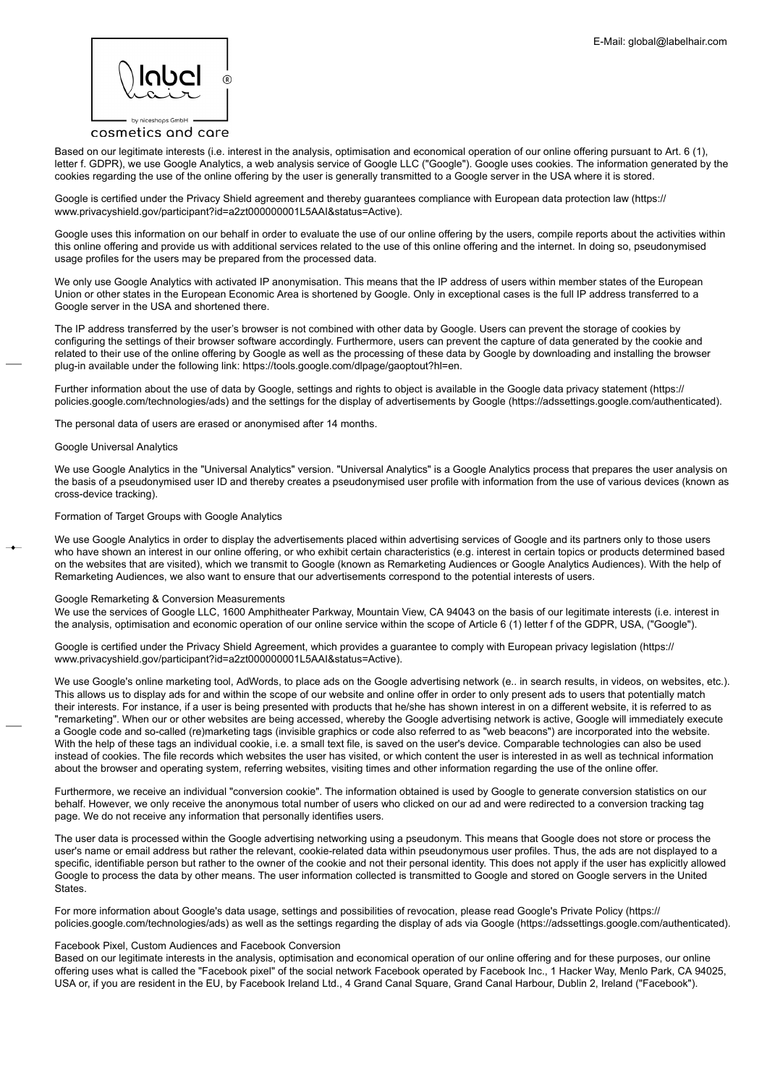### by niceshops GmbH cosmetics and care

Based on our legitimate interests (i.e. interest in the analysis, optimisation and economical operation of our online offering pursuant to Art. 6 (1), letter f. GDPR), we use Google Analytics, a web analysis service of Google LLC ("Google"). Google uses cookies. The information generated by the cookies regarding the use of the online offering by the user is generally transmitted to a Google server in the USA where it is stored.

Google is certified under the Privacy Shield agreement and thereby guarantees compliance with European data protection law (https:// www.privacyshield.gov/participant?id=a2zt000000001L5AAI&status=Active).

Google uses this information on our behalf in order to evaluate the use of our online offering by the users, compile reports about the activities within this online offering and provide us with additional services related to the use of this online offering and the internet. In doing so, pseudonymised usage profiles for the users may be prepared from the processed data.

We only use Google Analytics with activated IP anonymisation. This means that the IP address of users within member states of the European Union or other states in the European Economic Area is shortened by Google. Only in exceptional cases is the full IP address transferred to a Google server in the USA and shortened there.

The IP address transferred by the user's browser is not combined with other data by Google. Users can prevent the storage of cookies by configuring the settings of their browser software accordingly. Furthermore, users can prevent the capture of data generated by the cookie and related to their use of the online offering by Google as well as the processing of these data by Google by downloading and installing the browser plug-in available under the following link: https://tools.google.com/dlpage/gaoptout?hl=en.

Further information about the use of data by Google, settings and rights to object is available in the Google data privacy statement (https:// policies.google.com/technologies/ads) and the settings for the display of advertisements by Google (https://adssettings.google.com/authenticated).

The personal data of users are erased or anonymised after 14 months.

#### Google Universal Analytics

We use Google Analytics in the "Universal Analytics" version. "Universal Analytics" is a Google Analytics process that prepares the user analysis on the basis of a pseudonymised user ID and thereby creates a pseudonymised user profile with information from the use of various devices (known as cross-device tracking).

#### Formation of Target Groups with Google Analytics

We use Google Analytics in order to display the advertisements placed within advertising services of Google and its partners only to those users who have shown an interest in our online offering, or who exhibit certain characteristics (e.g. interest in certain topics or products determined based on the websites that are visited), which we transmit to Google (known as Remarketing Audiences or Google Analytics Audiences). With the help of Remarketing Audiences, we also want to ensure that our advertisements correspond to the potential interests of users.

#### Google Remarketing & Conversion Measurements

We use the services of Google LLC, 1600 Amphitheater Parkway, Mountain View, CA 94043 on the basis of our legitimate interests (i.e. interest in the analysis, optimisation and economic operation of our online service within the scope of Article 6 (1) letter f of the GDPR, USA, ("Google").

Google is certified under the Privacy Shield Agreement, which provides a guarantee to comply with European privacy legislation (https:// www.privacyshield.gov/participant?id=a2zt000000001L5AAI&status=Active).

We use Google's online marketing tool, AdWords, to place ads on the Google advertising network (e.. in search results, in videos, on websites, etc.). This allows us to display ads for and within the scope of our website and online offer in order to only present ads to users that potentially match their interests. For instance, if a user is being presented with products that he/she has shown interest in on a different website, it is referred to as "remarketing". When our or other websites are being accessed, whereby the Google advertising network is active, Google will immediately execute a Google code and so-called (re)marketing tags (invisible graphics or code also referred to as "web beacons") are incorporated into the website. With the help of these tags an individual cookie, i.e. a small text file, is saved on the user's device. Comparable technologies can also be used instead of cookies. The file records which websites the user has visited, or which content the user is interested in as well as technical information about the browser and operating system, referring websites, visiting times and other information regarding the use of the online offer.

Furthermore, we receive an individual "conversion cookie". The information obtained is used by Google to generate conversion statistics on our behalf. However, we only receive the anonymous total number of users who clicked on our ad and were redirected to a conversion tracking tag page. We do not receive any information that personally identifies users.

The user data is processed within the Google advertising networking using a pseudonym. This means that Google does not store or process the user's name or email address but rather the relevant, cookie-related data within pseudonymous user profiles. Thus, the ads are not displayed to a specific, identifiable person but rather to the owner of the cookie and not their personal identity. This does not apply if the user has explicitly allowed Google to process the data by other means. The user information collected is transmitted to Google and stored on Google servers in the United **States** 

For more information about Google's data usage, settings and possibilities of revocation, please read Google's Private Policy (https:// policies.google.com/technologies/ads) as well as the settings regarding the display of ads via Google (https://adssettings.google.com/authenticated).

#### Facebook Pixel, Custom Audiences and Facebook Conversion

Based on our legitimate interests in the analysis, optimisation and economical operation of our online offering and for these purposes, our online offering uses what is called the "Facebook pixel" of the social network Facebook operated by Facebook Inc., 1 Hacker Way, Menlo Park, CA 94025, USA or, if you are resident in the EU, by Facebook Ireland Ltd., 4 Grand Canal Square, Grand Canal Harbour, Dublin 2, Ireland ("Facebook").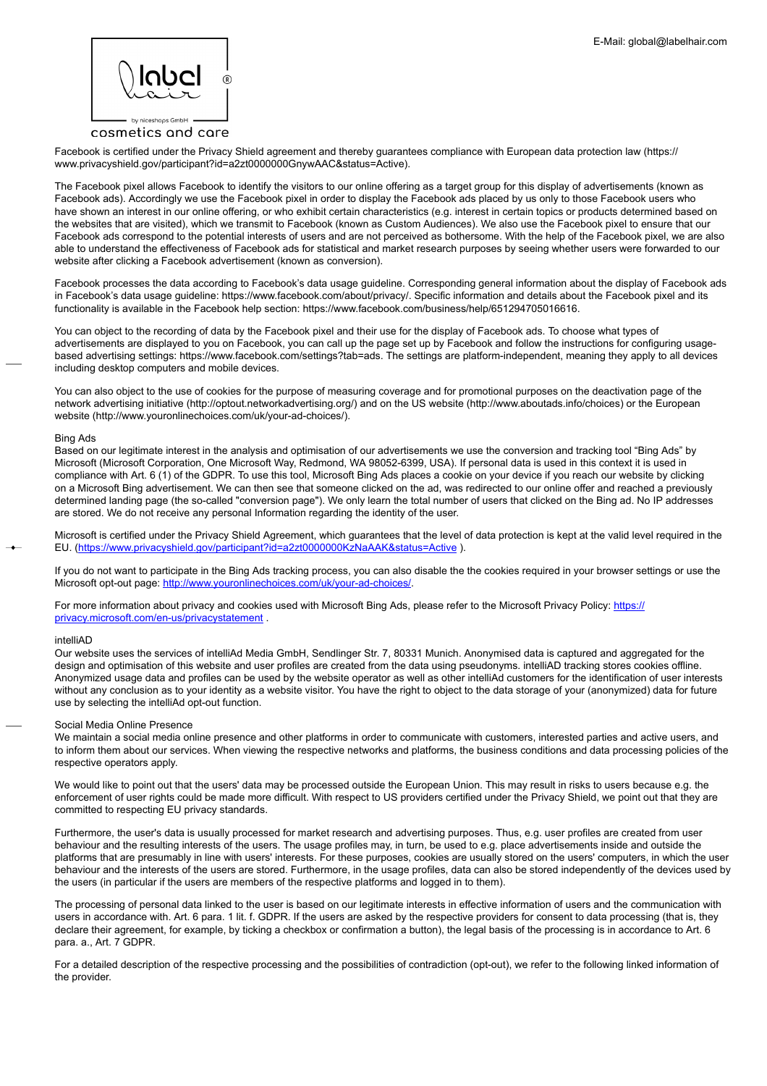

#### cosmetics and care

Facebook is certified under the Privacy Shield agreement and thereby guarantees compliance with European data protection law (https:// www.privacyshield.gov/participant?id=a2zt0000000GnywAAC&status=Active).

The Facebook pixel allows Facebook to identify the visitors to our online offering as a target group for this display of advertisements (known as Facebook ads). Accordingly we use the Facebook pixel in order to display the Facebook ads placed by us only to those Facebook users who have shown an interest in our online offering, or who exhibit certain characteristics (e.g. interest in certain topics or products determined based on the websites that are visited), which we transmit to Facebook (known as Custom Audiences). We also use the Facebook pixel to ensure that our Facebook ads correspond to the potential interests of users and are not perceived as bothersome. With the help of the Facebook pixel, we are also able to understand the effectiveness of Facebook ads for statistical and market research purposes by seeing whether users were forwarded to our website after clicking a Facebook advertisement (known as conversion).

Facebook processes the data according to Facebook's data usage guideline. Corresponding general information about the display of Facebook ads in Facebook's data usage guideline: https://www.facebook.com/about/privacy/. Specific information and details about the Facebook pixel and its functionality is available in the Facebook help section: https://www.facebook.com/business/help/651294705016616.

You can object to the recording of data by the Facebook pixel and their use for the display of Facebook ads. To choose what types of advertisements are displayed to you on Facebook, you can call up the page set up by Facebook and follow the instructions for configuring usagebased advertising settings: https://www.facebook.com/settings?tab=ads. The settings are platform-independent, meaning they apply to all devices including desktop computers and mobile devices.

You can also object to the use of cookies for the purpose of measuring coverage and for promotional purposes on the deactivation page of the network advertising initiative (http://optout.networkadvertising.org/) and on the US website (http://www.aboutads.info/choices) or the European website (http://www.youronlinechoices.com/uk/your-ad-choices/).

#### Bing Ads

Based on our legitimate interest in the analysis and optimisation of our advertisements we use the conversion and tracking tool "Bing Ads" by Microsoft (Microsoft Corporation, One Microsoft Way, Redmond, WA 98052-6399, USA). If personal data is used in this context it is used in compliance with Art. 6 (1) of the GDPR. To use this tool, Microsoft Bing Ads places a cookie on your device if you reach our website by clicking on a Microsoft Bing advertisement. We can then see that someone clicked on the ad, was redirected to our online offer and reached a previously determined landing page (the so-called "conversion page"). We only learn the total number of users that clicked on the Bing ad. No IP addresses are stored. We do not receive any personal Information regarding the identity of the user.

Microsoft is certified under the Privacy Shield Agreement, which guarantees that the level of data protection is kept at the valid level required in the EU. (<https://www.privacyshield.gov/participant?id=a2zt0000000KzNaAAK&status=Active> ).

If you do not want to participate in the Bing Ads tracking process, you can also disable the the cookies required in your browser settings or use the Microsoft opt-out page: [http://www.youronlinechoices.com/uk/your-ad-choices/.](http://www.youronlinechoices.com/uk/your-ad-choices/)

For more information about privacy and cookies used with Microsoft Bing Ads, please refer to the Microsoft Privacy Policy: [https://](https://privacy.microsoft.com/de-de/privacystatement) [privacy.microsoft.com/en-us/privacystatement](https://privacy.microsoft.com/de-de/privacystatement) .

#### intelliAD

Our website uses the services of intelliAd Media GmbH, Sendlinger Str. 7, 80331 Munich. Anonymised data is captured and aggregated for the design and optimisation of this website and user profiles are created from the data using pseudonyms. intelliAD tracking stores cookies offline. Anonymized usage data and profiles can be used by the website operator as well as other intelliAd customers for the identification of user interests without any conclusion as to your identity as a website visitor. You have the right to object to the data storage of your (anonymized) data for future use by selecting the intelliAd opt-out function.

#### Social Media Online Presence

We maintain a social media online presence and other platforms in order to communicate with customers, interested parties and active users, and to inform them about our services. When viewing the respective networks and platforms, the business conditions and data processing policies of the respective operators apply.

We would like to point out that the users' data may be processed outside the European Union. This may result in risks to users because e.g. the enforcement of user rights could be made more difficult. With respect to US providers certified under the Privacy Shield, we point out that they are committed to respecting EU privacy standards.

Furthermore, the user's data is usually processed for market research and advertising purposes. Thus, e.g. user profiles are created from user behaviour and the resulting interests of the users. The usage profiles may, in turn, be used to e.g. place advertisements inside and outside the platforms that are presumably in line with users' interests. For these purposes, cookies are usually stored on the users' computers, in which the user behaviour and the interests of the users are stored. Furthermore, in the usage profiles, data can also be stored independently of the devices used by the users (in particular if the users are members of the respective platforms and logged in to them).

The processing of personal data linked to the user is based on our legitimate interests in effective information of users and the communication with users in accordance with. Art. 6 para. 1 lit. f. GDPR. If the users are asked by the respective providers for consent to data processing (that is, they declare their agreement, for example, by ticking a checkbox or confirmation a button), the legal basis of the processing is in accordance to Art. 6 para. a., Art. 7 GDPR.

For a detailed description of the respective processing and the possibilities of contradiction (opt-out), we refer to the following linked information of the provider.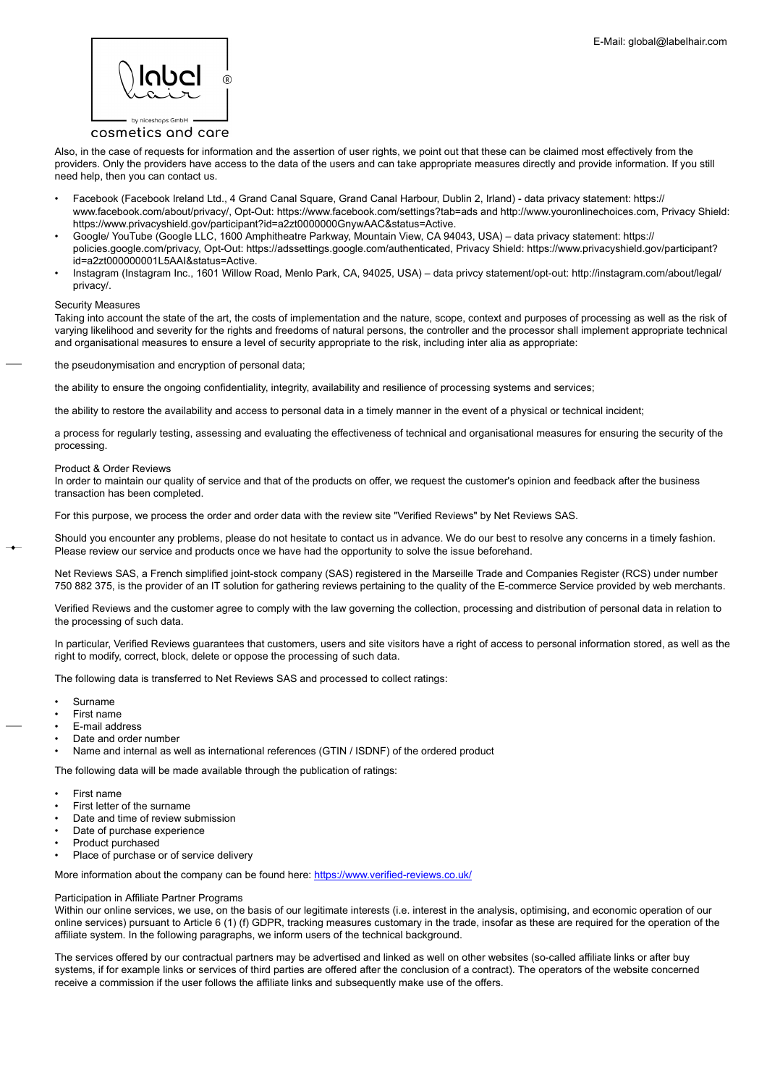## by niceshops GmbH

#### cosmetics and care

Also, in the case of requests for information and the assertion of user rights, we point out that these can be claimed most effectively from the providers. Only the providers have access to the data of the users and can take appropriate measures directly and provide information. If you still need help, then you can contact us.

- Facebook (Facebook Ireland Ltd., 4 Grand Canal Square, Grand Canal Harbour, Dublin 2, Irland) data privacy statement: https:// www.facebook.com/about/privacy/, Opt-Out: https://www.facebook.com/settings?tab=ads and http://www.youronlinechoices.com, Privacy Shield: https://www.privacyshield.gov/participant?id=a2zt0000000GnywAAC&status=Active.
- Google/ YouTube (Google LLC, 1600 Amphitheatre Parkway, Mountain View, CA 94043, USA) data privacy statement: https:// policies.google.com/privacy, Opt-Out: https://adssettings.google.com/authenticated, Privacy Shield: https://www.privacyshield.gov/participant? id=a2zt000000001L5AAI&status=Active.
- Instagram (Instagram Inc., 1601 Willow Road, Menlo Park, CA, 94025, USA) data privcy statement/opt-out: http://instagram.com/about/legal/ privacy/.

#### Security Measures

Taking into account the state of the art, the costs of implementation and the nature, scope, context and purposes of processing as well as the risk of varying likelihood and severity for the rights and freedoms of natural persons, the controller and the processor shall implement appropriate technical and organisational measures to ensure a level of security appropriate to the risk, including inter alia as appropriate:

the pseudonymisation and encryption of personal data;

the ability to ensure the ongoing confidentiality, integrity, availability and resilience of processing systems and services;

the ability to restore the availability and access to personal data in a timely manner in the event of a physical or technical incident;

a process for regularly testing, assessing and evaluating the effectiveness of technical and organisational measures for ensuring the security of the processing.

#### Product & Order Reviews

In order to maintain our quality of service and that of the products on offer, we request the customer's opinion and feedback after the business transaction has been completed.

For this purpose, we process the order and order data with the review site "Verified Reviews" by Net Reviews SAS.

Should you encounter any problems, please do not hesitate to contact us in advance. We do our best to resolve any concerns in a timely fashion. Please review our service and products once we have had the opportunity to solve the issue beforehand.

Net Reviews SAS, a French simplified joint-stock company (SAS) registered in the Marseille Trade and Companies Register (RCS) under number 750 882 375, is the provider of an IT solution for gathering reviews pertaining to the quality of the E-commerce Service provided by web merchants.

Verified Reviews and the customer agree to comply with the law governing the collection, processing and distribution of personal data in relation to the processing of such data.

In particular, Verified Reviews guarantees that customers, users and site visitors have a right of access to personal information stored, as well as the right to modify, correct, block, delete or oppose the processing of such data.

The following data is transferred to Net Reviews SAS and processed to collect ratings:

- Surname
- First name
- E-mail address
- Date and order number
- Name and internal as well as international references (GTIN / ISDNF) of the ordered product

The following data will be made available through the publication of ratings:

- First name
- First letter of the surname
- Date and time of review submission
- Date of purchase experience
- Product purchased
- Place of purchase or of service delivery

More information about the company can be found here: <https://www.verified-reviews.co.uk/>

#### Participation in Affiliate Partner Programs

Within our online services, we use, on the basis of our legitimate interests (i.e. interest in the analysis, optimising, and economic operation of our online services) pursuant to Article 6 (1) (f) GDPR, tracking measures customary in the trade, insofar as these are required for the operation of the affiliate system. In the following paragraphs, we inform users of the technical background.

The services offered by our contractual partners may be advertised and linked as well on other websites (so-called affiliate links or after buy systems, if for example links or services of third parties are offered after the conclusion of a contract). The operators of the website concerned receive a commission if the user follows the affiliate links and subsequently make use of the offers.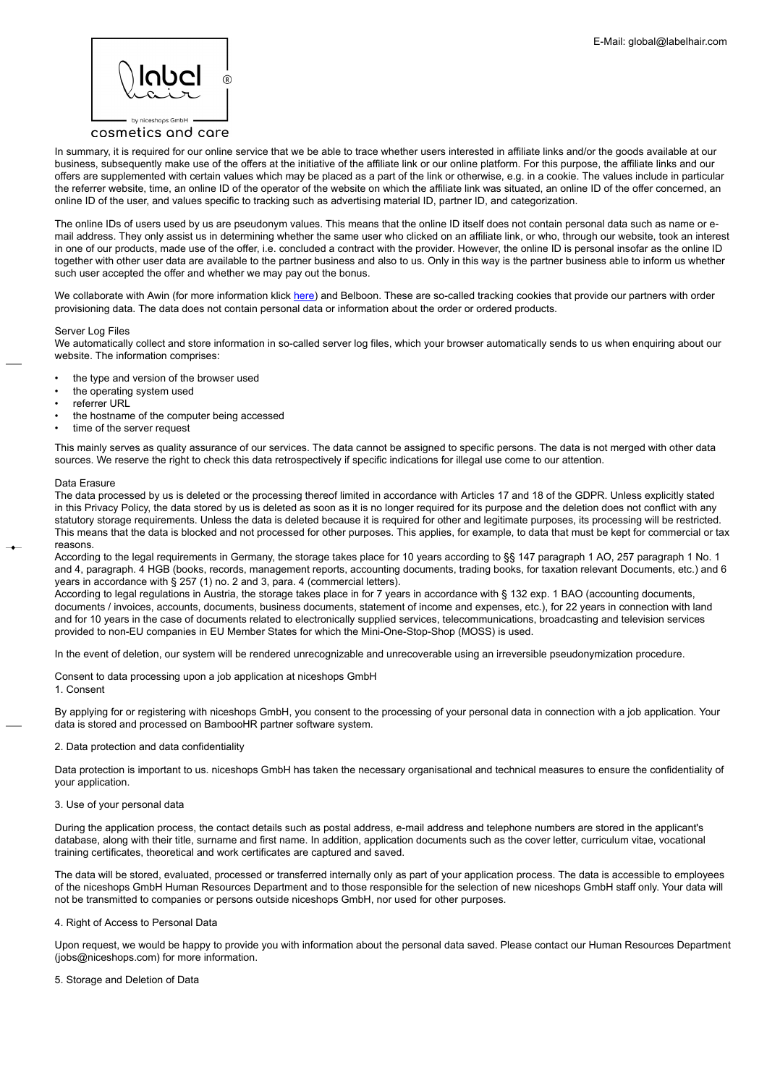

cosmetics and care

In summary, it is required for our online service that we be able to trace whether users interested in affiliate links and/or the goods available at our business, subsequently make use of the offers at the initiative of the affiliate link or our online platform. For this purpose, the affiliate links and our offers are supplemented with certain values which may be placed as a part of the link or otherwise, e.g. in a cookie. The values include in particular the referrer website, time, an online ID of the operator of the website on which the affiliate link was situated, an online ID of the offer concerned, an online ID of the user, and values specific to tracking such as advertising material ID, partner ID, and categorization.

The online IDs of users used by us are pseudonym values. This means that the online ID itself does not contain personal data such as name or email address. They only assist us in determining whether the same user who clicked on an affiliate link, or who, through our website, took an interest in one of our products, made use of the offer, i.e. concluded a contract with the provider. However, the online ID is personal insofar as the online ID together with other user data are available to the partner business and also to us. Only in this way is the partner business able to inform us whether such user accepted the offer and whether we may pay out the bonus.

We collaborate with Awin (for more information klick [here\)](#page-0-0) and Belboon. These are so-called tracking cookies that provide our partners with order provisioning data. The data does not contain personal data or information about the order or ordered products.

#### Server Log Files

We automatically collect and store information in so-called server log files, which your browser automatically sends to us when enquiring about our website. The information comprises:

- the type and version of the browser used
- the operating system used
- referrer URL
- the hostname of the computer being accessed
- time of the server request

This mainly serves as quality assurance of our services. The data cannot be assigned to specific persons. The data is not merged with other data sources. We reserve the right to check this data retrospectively if specific indications for illegal use come to our attention.

#### Data Erasure

The data processed by us is deleted or the processing thereof limited in accordance with Articles 17 and 18 of the GDPR. Unless explicitly stated in this Privacy Policy, the data stored by us is deleted as soon as it is no longer required for its purpose and the deletion does not conflict with any statutory storage requirements. Unless the data is deleted because it is required for other and legitimate purposes, its processing will be restricted. This means that the data is blocked and not processed for other purposes. This applies, for example, to data that must be kept for commercial or tax reasons.

According to the legal requirements in Germany, the storage takes place for 10 years according to §§ 147 paragraph 1 AO, 257 paragraph 1 No. 1 and 4, paragraph. 4 HGB (books, records, management reports, accounting documents, trading books, for taxation relevant Documents, etc.) and 6 years in accordance with § 257 (1) no. 2 and 3, para. 4 (commercial letters).

According to legal regulations in Austria, the storage takes place in for 7 years in accordance with § 132 exp. 1 BAO (accounting documents, documents / invoices, accounts, documents, business documents, statement of income and expenses, etc.), for 22 years in connection with land and for 10 years in the case of documents related to electronically supplied services, telecommunications, broadcasting and television services provided to non-EU companies in EU Member States for which the Mini-One-Stop-Shop (MOSS) is used.

In the event of deletion, our system will be rendered unrecognizable and unrecoverable using an irreversible pseudonymization procedure.

Consent to data processing upon a job application at niceshops GmbH

1. Consent

By applying for or registering with niceshops GmbH, you consent to the processing of your personal data in connection with a job application. Your data is stored and processed on BambooHR partner software system.

#### 2. Data protection and data confidentiality

Data protection is important to us. niceshops GmbH has taken the necessary organisational and technical measures to ensure the confidentiality of your application.

#### 3. Use of your personal data

During the application process, the contact details such as postal address, e-mail address and telephone numbers are stored in the applicant's database, along with their title, surname and first name. In addition, application documents such as the cover letter, curriculum vitae, vocational training certificates, theoretical and work certificates are captured and saved.

The data will be stored, evaluated, processed or transferred internally only as part of your application process. The data is accessible to employees of the niceshops GmbH Human Resources Department and to those responsible for the selection of new niceshops GmbH staff only. Your data will not be transmitted to companies or persons outside niceshops GmbH, nor used for other purposes.

#### 4. Right of Access to Personal Data

Upon request, we would be happy to provide you with information about the personal data saved. Please contact our Human Resources Department (jobs@niceshops.com) for more information.

#### 5. Storage and Deletion of Data